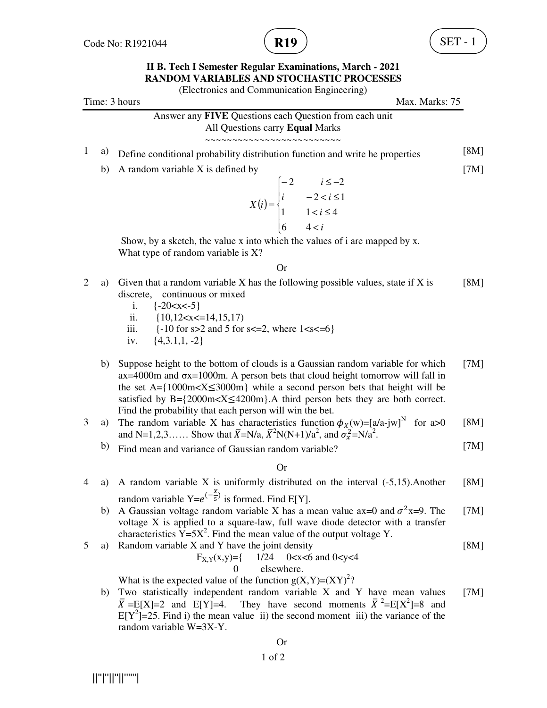

(Electronics and Communication Engineering)

Time: 3 hours Max. Marks: 75 Answer any **FIVE** Questions each Question from each unit All Questions carry **Equal** Marks ~~~~~~~~~~~~~~~~~~~~~~~~~ <sup>1</sup> a) Define conditional probability distribution function and write he properties [8M] b) A random variable X is defined by  $(i)$  $\mathbf{I}$  $\mathbf{I}$  $\overline{\mathfrak{l}}$  $\vert$ ∤  $\sqrt{ }$  $\lt$  $$  $-2 < i \leq$  $-2$   $i \leq -$ = *i i i*  $-2 < i$ *i iX* 4 6 1  $1 < i \leq 4$  $-2 < i \leq 1$ 2  $i \leq -2$  Show, by a sketch, the value x into which the values of i are mapped by x. What type of random variable is X? [7M] Or 2 a) Given that a random variable X has the following possible values, state if X is discrete, continuous or mixed i.  $\{-20 < x < -5\}$ ii.  $\{10, 12 < x < 14, 15, 17\}$ iii.  $\{-10 \text{ for } s > 2 \text{ and } 5 \text{ for } s < = 2, \text{ where } 1 < s < = 6\}$ iv.  $\{4,3.1,1,-2\}$ [8M] b) Suppose height to the bottom of clouds is a Gaussian random variable for which  $ax=4000m$  and  $ox=1000m$ . A person bets that cloud height tomorrow will fall in the set A= $\{1000 \text{m} \times X \leq 3000 \text{m}\}\$  while a second person bets that height will be satisfied by  $B = \{2000 \text{m} \times X \le 4200 \text{m}\}\$ . A third person bets they are both correct. Find the probability that each person will win the bet. [7M] 3 a) The random variable X has characteristics function  $\phi_X(w) = [a/a-jw]^N$  for a>0 and N=1,2,3…… Show that  $\bar{X}$ =N/a,  $\bar{X}$ <sup>2</sup>N(N+1)/a<sup>2</sup>, and  $\sigma_x^2$ =N/a<sup>2</sup>. [8M] b) Find mean and variance of Gaussian random variable? [7M] Or 4 a) A random variable X is uniformly distributed on the interval (-5,15).Another random variable  $Y=e^{(-\frac{X}{5})}$  $\frac{1}{5}$  is formed. Find E[Y]. [8M] b) A Gaussian voltage random variable X has a mean value ax=0 and  $\sigma^2$ x=9. The voltage X is applied to a square-law, full wave diode detector with a transfer characteristics  $\widehat{Y} = 5X^2$ . Find the mean value of the output voltage Y. [7M] 5 a) Random variable X and Y have the joint density  $F_{X,Y}(x,y)=\{$  1/24 0<x<6 and 0<y<4 0 elsewhere. What is the expected value of the function  $g(X, Y) = (XY)^2$ ? [8M] b) Two statistically independent random variable X and Y have mean values  $\bar{X} = E[X]=2$  and  $E[Y]=4$ . They have second moments  $\bar{X}^2=E[X^2]=8$  and  $E[Y^2] = 25$ . Find i) the mean value ii) the second moment iii) the variance of the random variable W=3X-Y. [7M]

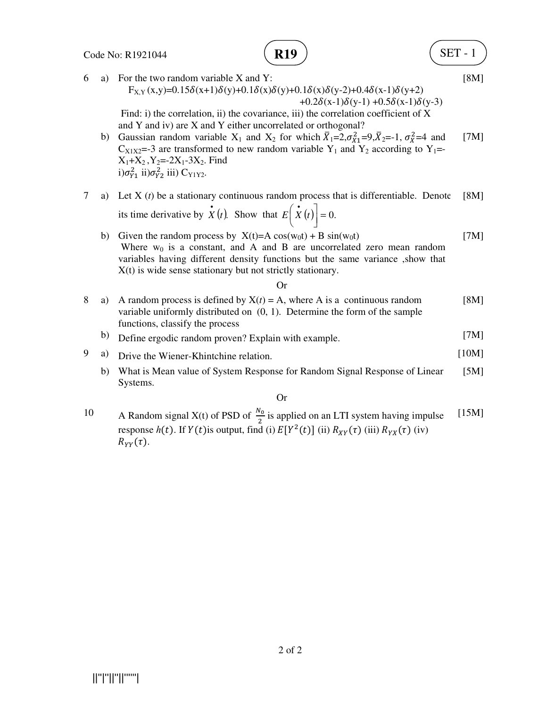6 a) For the two random variable X and Y:



**R19**  
\n
$$
\delta(y)+0.1\delta(x)\delta(y-2)+0.4\delta(x-1)\delta(y+2)
$$
\n[8M]  
\n
$$
+0.2\delta(x-1)\delta(y-1)+0.5\delta(x-1)\delta(y-3)
$$

 $+0.2\delta(x-1)\delta(y-1) +0.5\delta(x-1)\delta(y-3)$  Find: i) the correlation, ii) the covariance, iii) the correlation coefficient of X and Y and iv) are X and Y either uncorrelated or orthogonal?

 $F_{X,Y}(x,y)=0.15\delta(x+1)\delta(y)+0.1\delta(x)\delta(y)+0.1\delta(x)$ 

b) Gaussian random variable  $X_1$  and  $X_2$  for which  $\overline{X}_1 = 2, \sigma_{X_1}^2 = 9, \overline{X}_2 = -1, \sigma_X^2 = 4$  and C<sub>X1X2</sub>=-3 are transformed to new random variable Y<sub>1</sub> and Y<sub>2</sub> according to Y<sub>1</sub>=- $X_1+X_2$ ,  $Y_2=-2X_1-3X_2$ . Find i) $\sigma_{Y_1}^2$  ii) $\sigma_{Y_2}^2$  iii) C<sub>Y1Y2</sub>. [7M]

- 7 a) Let X (*t*) be a stationary continuous random process that is differentiable. Denote its time derivative by  $\dot{X}(t)$ . Show that  $E\left(\dot{X}(t)\right) = 0$ .  $\left[\dot{\dot{X}}(t)\right]$ l  $E\left(\begin{array}{c}\bullet\\ X\end{array}\right)$ [8M]
	- b) Given the random process by  $X(t)=A \cos(w_0t) + B \sin(w_0t)$ Where  $w_0$  is a constant, and A and B are uncorrelated zero mean random variables having different density functions but the same variance ,show that X(t) is wide sense stationary but not strictly stationary. [7M]

Or

| 8 | a) | A random process is defined by $X(t) = A$ , where A is a continuous random<br>variable uniformly distributed on $(0, 1)$ . Determine the form of the sample<br>functions, classify the process | [8M]  |
|---|----|------------------------------------------------------------------------------------------------------------------------------------------------------------------------------------------------|-------|
|   | b) | Define ergodic random proven? Explain with example.                                                                                                                                            | 7M    |
| 9 | a) | Drive the Wiener-Khintchine relation.                                                                                                                                                          | [10M] |
|   | b) | What is Mean value of System Response for Random Signal Response of Linear<br>Systems.                                                                                                         | [5M]  |
|   |    | $\alpha$                                                                                                                                                                                       |       |

10 A Random signal X(t) of PSD of  $\frac{N_0}{2}$  is applied on an LTI system having impulse response  $h(t)$ . If  $Y(t)$  is output, find (i)  $E[Y^2(t)]$  (ii)  $R_{XY}(\tau)$  (iii)  $R_{YX}(\tau)$  (iv)  $R_{YY}(\tau)$ . [15M]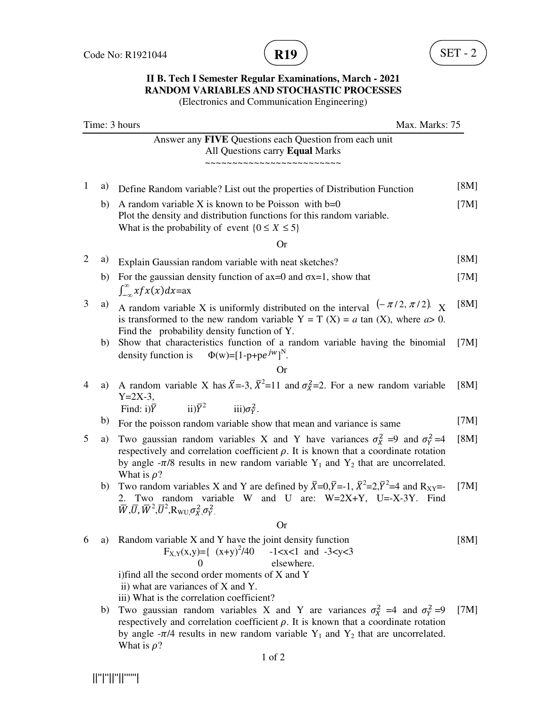

(Electronics and Communication Engineering)

| Time: 3 hours<br>Max. Marks: 75 |    |                                                                                                                                                                                                                                                                                                                                                                                                                                                                       |      |
|---------------------------------|----|-----------------------------------------------------------------------------------------------------------------------------------------------------------------------------------------------------------------------------------------------------------------------------------------------------------------------------------------------------------------------------------------------------------------------------------------------------------------------|------|
|                                 |    | Answer any FIVE Questions each Question from each unit<br>All Questions carry Equal Marks<br>~~~~~~~~~~~~~                                                                                                                                                                                                                                                                                                                                                            |      |
| 1                               | a) | Define Random variable? List out the properties of Distribution Function                                                                                                                                                                                                                                                                                                                                                                                              | [8M] |
|                                 | b) | A random variable X is known to be Poisson with $b=0$<br>Plot the density and distribution functions for this random variable.<br>What is the probability of event $\{0 \le X \le 5\}$                                                                                                                                                                                                                                                                                | [7M] |
|                                 |    | <b>Or</b>                                                                                                                                                                                                                                                                                                                                                                                                                                                             |      |
| $\overline{2}$                  | a) | Explain Gaussian random variable with neat sketches?                                                                                                                                                                                                                                                                                                                                                                                                                  | [8M] |
|                                 | b) | For the gaussian density function of $ax=0$ and $\sigma x=1$ , show that<br>$\int_{-\infty}^{\infty} x f x(x) dx = a x$                                                                                                                                                                                                                                                                                                                                               | [7M] |
| 3                               | a) | A random variable X is uniformly distributed on the interval $(-\pi/2, \pi/2)$ .<br>is transformed to the new random variable $Y = T(X) = a \tan(X)$ , where $a > 0$ .<br>Find the probability density function of Y.                                                                                                                                                                                                                                                 | [8M] |
|                                 | b) | Show that characteristics function of a random variable having the binomial<br>density function is $\Phi(w) = [1-p+p e^{jw}]^N$ .                                                                                                                                                                                                                                                                                                                                     | [7M] |
|                                 |    | <b>Or</b>                                                                                                                                                                                                                                                                                                                                                                                                                                                             |      |
| $\overline{4}$                  | a) | A random variable X has $\bar{X}$ =-3, $\bar{X}^2$ =11 and $\sigma_X^2$ =2. For a new random variable<br>$Y = 2X - 3$ ,<br>$\text{iii)}\overline{Y}^2$ $\text{iii)}\sigma_Y^2$ .                                                                                                                                                                                                                                                                                      | [8M] |
|                                 | b) | Find: $i)\overline{Y}$                                                                                                                                                                                                                                                                                                                                                                                                                                                | [7M] |
| 5                               | a) | For the poisson random variable show that mean and variance is same<br>Two gaussian random variables X and Y have variances $\sigma_X^2 = 9$ and $\sigma_Y^2 = 4$<br>respectively and correlation coefficient $\rho$ . It is known that a coordinate rotation<br>by angle $-\pi/8$ results in new random variable Y <sub>1</sub> and Y <sub>2</sub> that are uncorrelated.<br>What is $\rho$ ?                                                                        | [8M] |
|                                 | b) | Two random variables X and Y are defined by $\bar{X}=0, \bar{Y}=1, \bar{X}^2=2, \bar{Y}^2=4$ and R <sub>XY</sub> =-<br>Two random variable W and U are: W=2X+Y, U=-X-3Y. Find<br>2.<br>$\bar{W}, \bar{U}, \bar{W}^2, \bar{U}^2, \mathrm{R}_{\mathrm{WU}, \sigma_X^2, \sigma_Y^2}$                                                                                                                                                                                     | [7M] |
|                                 |    | <b>Or</b>                                                                                                                                                                                                                                                                                                                                                                                                                                                             |      |
| 6                               | a) | Random variable X and Y have the joint density function<br>$F_{X,Y}(x,y)=\{(x+y)^2/40 -1 < x < 1 \text{ and } -3 < y < 3\}$<br>$\overline{0}$<br>elsewhere.                                                                                                                                                                                                                                                                                                           | [8M] |
|                                 | b) | i) find all the second order moments of X and Y<br>ii) what are variances of X and Y.<br>iii) What is the correlation coefficient?<br>Two gaussian random variables X and Y are variances $\sigma_{X}^{2} = 4$ and $\sigma_{Y}^{2} = 9$<br>respectively and correlation coefficient $\rho$ . It is known that a coordinate rotation<br>by angle - $\pi/4$ results in new random variable Y <sub>1</sub> and Y <sub>2</sub> that are uncorrelated.<br>What is $\rho$ ? | [7M] |

 $\label{eq:1} \begin{split} |||^{n}||^{n}||^{n}||^{n}||^{n} \end{split}$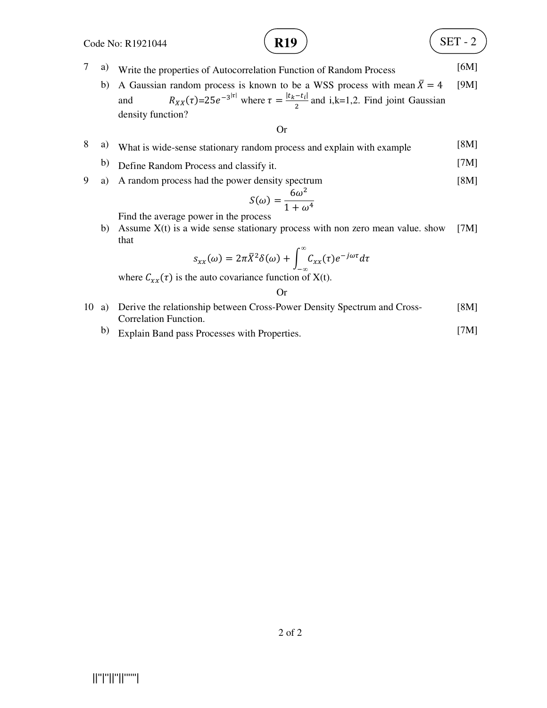

$$
\mathbf{R19} \quad \begin{pmatrix} \text{SET - 2} \\ \text{10} \end{pmatrix}
$$

- 7 a) Write the properties of Autocorrelation Function of Random Process [6M]
	- b) A Gaussian random process is known to be a WSS process with mean  $\bar{X} = 4$ and  $R_{XX}(\tau) = 25e^{-3|\tau|}$  where  $\tau = \frac{|t_k - t_i|}{2}$  $\frac{-\epsilon_{\iota}}{2}$  and i,k=1,2. Find joint Gaussian density function? [9M]

Or

- 8 a) What is wide-sense stationary random process and explain with example [8M]
	- b) Define Random Process and classify it. [7M]
- 9 a) A random process had the power density spectrum [8M]

$$
S(\omega) = \frac{6\omega^2}{1 + \omega^4}
$$

Find the average power in the process

b) Assume  $X(t)$  is a wide sense stationary process with non zero mean value. show that [7M]

$$
s_{xx}(\omega)=2\pi \bar{X}^2\delta(\omega)+\int_{-\infty}^{\infty}C_{xx}(\tau)e^{-j\omega\tau}d\tau
$$

where  $C_{xx}(\tau)$  is the auto covariance function of X(t).

Or

- 10 a) Derive the relationship between Cross-Power Density Spectrum and Cross-Correlation Function. [8M]
	- b) Explain Band pass Processes with Properties. [7M]

||''|''||''||''''''|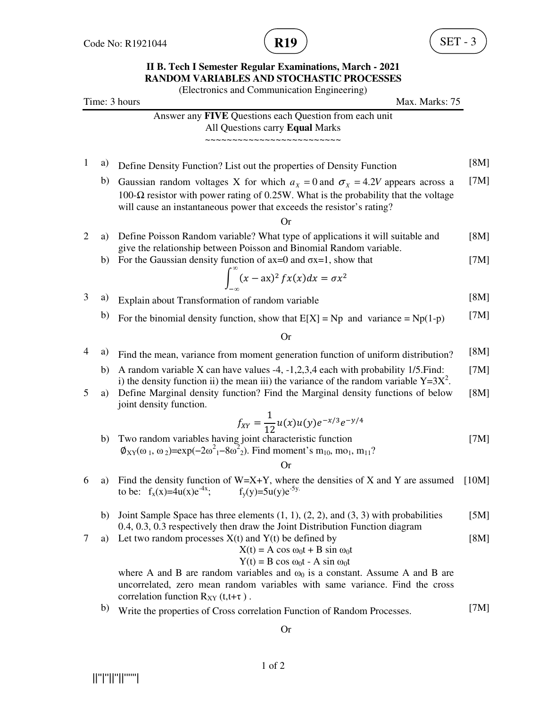

(Electronics and Communication Engineering)

| Time: 3 hours<br>Max. Marks: 75 |    |                                                                                                                                                                                                                                                                                                                                    |       |
|---------------------------------|----|------------------------------------------------------------------------------------------------------------------------------------------------------------------------------------------------------------------------------------------------------------------------------------------------------------------------------------|-------|
|                                 |    | Answer any FIVE Questions each Question from each unit<br>All Questions carry Equal Marks                                                                                                                                                                                                                                          |       |
| $\mathbf{1}$                    | a) | Define Density Function? List out the properties of Density Function                                                                                                                                                                                                                                                               | [8M]  |
|                                 | b) | Gaussian random voltages X for which $a_x = 0$ and $\sigma_x = 4.2V$ appears across a<br>100- $\Omega$ resistor with power rating of 0.25W. What is the probability that the voltage<br>will cause an instantaneous power that exceeds the resistor's rating?                                                                      | [7M]  |
| 2                               | a) | <b>Or</b><br>Define Poisson Random variable? What type of applications it will suitable and                                                                                                                                                                                                                                        | [8M]  |
|                                 | b) | give the relationship between Poisson and Binomial Random variable.<br>For the Gaussian density function of $ax=0$ and $\sigma x=1$ , show that                                                                                                                                                                                    | [7M]  |
|                                 |    | $\int_{0}^{\infty} (x - ax)^2 f x(x) dx = \sigma x^2$                                                                                                                                                                                                                                                                              |       |
| 3                               | a) | Explain about Transformation of random variable                                                                                                                                                                                                                                                                                    | [8M]  |
|                                 | b) | For the binomial density function, show that $E[X] = Np$ and variance = $Np(1-p)$                                                                                                                                                                                                                                                  | [7M]  |
|                                 |    | <b>Or</b>                                                                                                                                                                                                                                                                                                                          |       |
| 4                               | a) | Find the mean, variance from moment generation function of uniform distribution?                                                                                                                                                                                                                                                   | [8M]  |
|                                 | b) | A random variable X can have values $-4$ , $-1,2,3,4$ each with probability 1/5. Find:<br>i) the density function ii) the mean iii) the variance of the random variable $Y=3X^2$ .                                                                                                                                                 | [7M]  |
| 5                               | a) | Define Marginal density function? Find the Marginal density functions of below<br>joint density function.                                                                                                                                                                                                                          | [8M]  |
|                                 |    | $f_{XY} = \frac{1}{12} u(x) u(y) e^{-x/3} e^{-y/4}$                                                                                                                                                                                                                                                                                |       |
|                                 | b) | Two random variables having joint characteristic function<br>$\phi_{XY}(\omega_1, \omega_2)$ =exp(-2 $\omega_1^2$ -8 $\omega_2^2$ ). Find moment's m <sub>10</sub> , mo <sub>1</sub> , m <sub>11</sub> ?                                                                                                                           | [7M]  |
|                                 |    | Or                                                                                                                                                                                                                                                                                                                                 |       |
| 6                               | a) | Find the density function of $W=X+Y$ , where the densities of X and Y are assumed<br>to be: $f_x(x)=4u(x)e^{-4x}$ ; $f_y(y)=5u(y)e^{-5y}$ .                                                                                                                                                                                        | [10M] |
|                                 | b) | Joint Sample Space has three elements $(1, 1), (2, 2),$ and $(3, 3)$ with probabilities<br>0.4, 0.3, 0.3 respectively then draw the Joint Distribution Function diagram                                                                                                                                                            | [5M]  |
| 7                               | a) | Let two random processes $X(t)$ and $Y(t)$ be defined by<br>$X(t) = A \cos \omega_0 t + B \sin \omega_0 t$<br>$Y(t) = B \cos \omega_0 t - A \sin \omega_0 t$<br>where A and B are random variables and $\omega_0$ is a constant. Assume A and B are<br>uncorrelated, zero mean random variables with same variance. Find the cross | [8M]  |
|                                 |    | correlation function $R_{XY}$ (t,t+ $\tau$ ).                                                                                                                                                                                                                                                                                      |       |
|                                 | b) | Write the properties of Cross correlation Function of Random Processes.                                                                                                                                                                                                                                                            | [7M]  |
|                                 |    | <b>Or</b>                                                                                                                                                                                                                                                                                                                          |       |

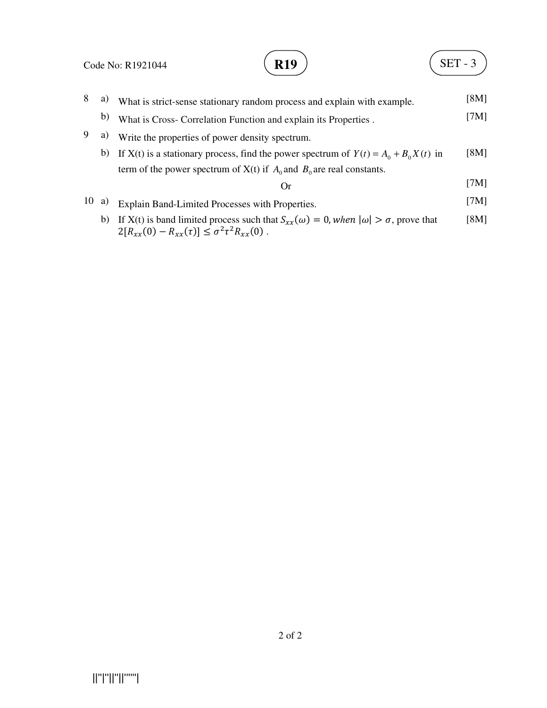|    |    | $SET - 3$<br><b>R19</b><br>Code No: R1921044                                                                                       |               |
|----|----|------------------------------------------------------------------------------------------------------------------------------------|---------------|
| 8  | a) | What is strict-sense stationary random process and explain with example.                                                           | [8M]          |
|    | b) | What is Cross- Correlation Function and explain its Properties.                                                                    | [7 $M$ ]      |
| 9  | a) | Write the properties of power density spectrum.                                                                                    |               |
|    | b) | If X(t) is a stationary process, find the power spectrum of $Y(t) = A_0 + B_0 X(t)$ in                                             | [8M]          |
|    |    | term of the power spectrum of $X(t)$ if $A_0$ and $B_0$ are real constants.                                                        |               |
|    |    | $\alpha$                                                                                                                           | [7 $M$ ]      |
| 10 | a) | Explain Band-Limited Processes with Properties.                                                                                    | [7 $M$ ]      |
|    |    | 1) $T(XZ/\lambda + 1 - 1)$ , $T(XZ/\lambda + 1 - 1)$ , $T(XZ/\lambda + 1 - 1)$ , $T(XZ/\lambda + 1 - 1)$ , $T(XZ/\lambda + 1 - 1)$ | <b>FOR 41</b> |

b) If X(t) is band limited process such that  $S_{xx}(\omega) = 0$ , when  $|\omega| > \sigma$ , prove that  $2[R_{xx}(0) - R_{xx}(\tau)] \leq \sigma^2 \tau^2 R_{xx}(0)$ . [8M]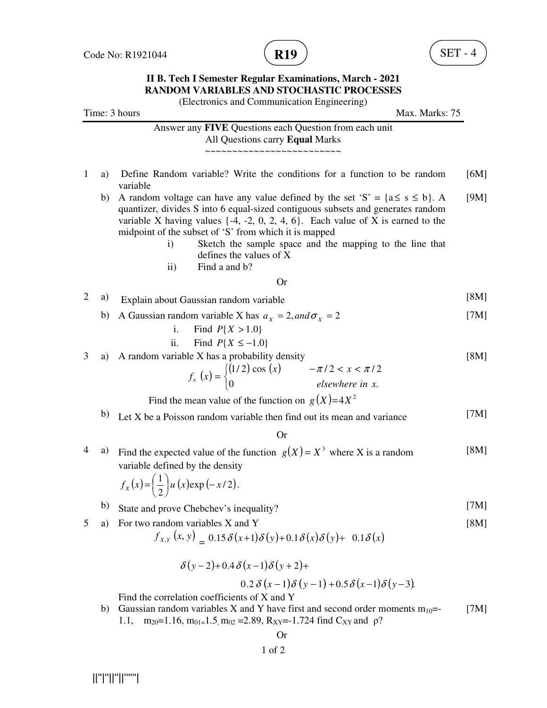

(Electronics and Communication Engineering)

Time: 3 hours Max. Marks: 75 Answer any **FIVE** Questions each Question from each unit All Questions carry **Equal** Marks ~~~~~~~~~~~~~~~~~~~~~~~~~ 1 a) Define Random variable? Write the conditions for a function to be random variable  $[6M]$ b) A random voltage can have any value defined by the set 'S' =  $\{a \le s \le b\}$ . quantizer, divides S into 6 equal-sized contiguous subsets and generates random variable X having values  $\{-4, -2, 0, 2, 4, 6\}$ . Each value of X is earned to the midpoint of the subset of 'S' from which it is mapped i) Sketch the sample space and the mapping to the line that defines the values of X ii) Find a and b? [9M] Or 2 a) Explain about Gaussian random variable [8M] b) A Gaussian random variable X has  $a_x = 2$ , and  $\sigma_x = 2$ i. Find  $P\{X > 1.0\}$ ii. Find  $P{X ≤ -1.0}$ [7M] 3 a) A random variable X has a probability density  $(x) = \begin{cases} (1/2) \cos(x) \\ 0 \end{cases}$  $\overline{\mathfrak{l}}$ ∤  $\int (1/2) \cos (x)$   $-\pi/2 < x <$  $\mathcal{L}_x(x) = \begin{cases} 0 & \text{if } x \neq 0 \\ 0 & \text{elsewhere in } x. \end{cases}$  $(1/2)\cos(x)$   $-\pi/2 < x < \pi/2$ *elsewhere in x*  $f_{\rm x}(x) = \begin{cases} (1/2) \cos(x) & -\pi/2 < x < \pi \\ 0 & \sin(x) \end{cases}$ Find the mean value of the function on  $g(X) = 4X^2$ [8M] b) Let X be a Poisson random variable then find out its mean and variance [7M] Or 4 a) Find the expected value of the function  $g(X) = X^3$  where X is a random variable defined by the density  $(x) = \left(\frac{1}{2}\right) u (x) \exp(-x/2).$ [8M] b) State and prove Chebchev's inequality? [7M] 5 a) For two random variables X and Y  $f_{X,Y}(x, y) = 0.15 \delta(x+1) \delta(y) + 0.1 \delta(x) \delta(y) + 0.1 \delta(x)$  $\delta (y - 2) + 0.4 \delta (x - 1) \delta (y + 2) +$  $0.2 \delta (x-1) \delta (y-1) + 0.5 \delta (x-1) \delta (y-3).$ Find the correlation coefficients of X and Y [8M] b) Gaussian random variables X and Y have first and second order moments  $m_{10}$ = 1.1,  $m_{20} = 1.16$ ,  $m_{01} = 1.5$ ,  $m_{02} = 2.89$ ,  $R_{XY} = -1.724$  find  $C_{XY}$  and  $\rho$ ? [7M] Or  $f_x(x) = \left(\frac{1}{2}\right)u(x) \exp\left(-x\right)$  $\left(\frac{1}{1}\right)$ l ſ =

||''|''||''||''''''|